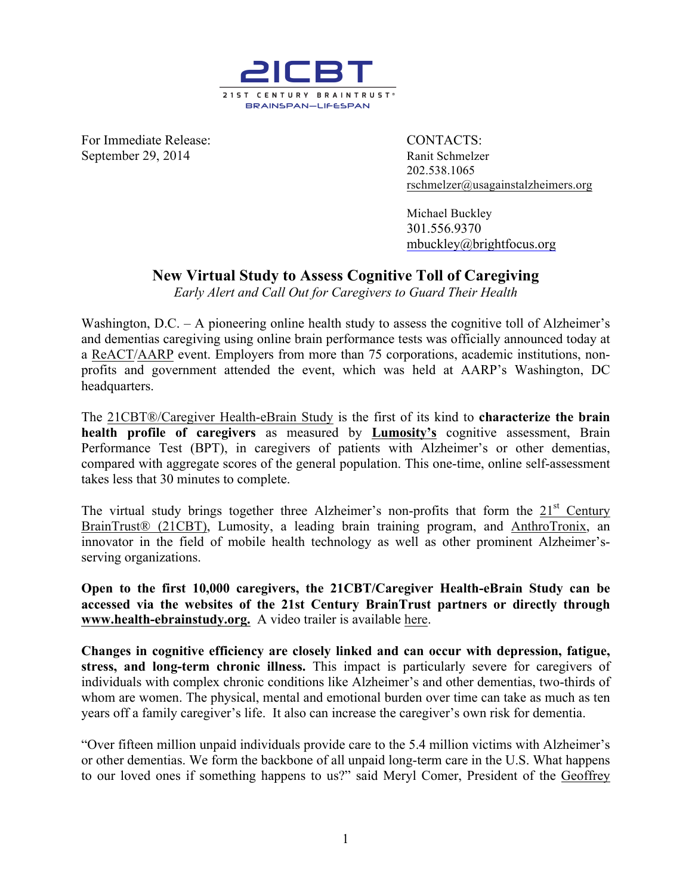

**For Immediate Release:** CONTACTS: September 29, 2014 **Ranit Schmelzer** 

202.538.1065 rschmelzer@usagainstalzheimers.org

Michael Buckley 301.556.9370 mbuckley@brightfocus.org

## **New Virtual Study to Assess Cognitive Toll of Caregiving**

*Early Alert and Call Out for Caregivers to Guard Their Health*

Washington,  $D.C. - A$  pioneering online health study to assess the cognitive toll of Alzheimer's and dementias caregiving using online brain performance tests was officially announced today at a ReACT/AARP event. Employers from more than 75 corporations, academic institutions, nonprofits and government attended the event, which was held at AARP's Washington, DC headquarters.

The 21CBT®/Caregiver Health-eBrain Study is the first of its kind to **characterize the brain health profile of caregivers** as measured by **Lumosity's** cognitive assessment, Brain Performance Test (BPT), in caregivers of patients with Alzheimer's or other dementias, compared with aggregate scores of the general population. This one-time, online self-assessment takes less that 30 minutes to complete.

The virtual study brings together three Alzheimer's non-profits that form the 21<sup>st</sup> Century BrainTrust® (21CBT), Lumosity, a leading brain training program, and AnthroTronix, an innovator in the field of mobile health technology as well as other prominent Alzheimer'sserving organizations.

**Open to the first 10,000 caregivers, the 21CBT/Caregiver Health-eBrain Study can be accessed via the websites of the 21st Century BrainTrust partners or directly through www.health-ebrainstudy.org.** A video trailer is available here.

**Changes in cognitive efficiency are closely linked and can occur with depression, fatigue, stress, and long-term chronic illness.** This impact is particularly severe for caregivers of individuals with complex chronic conditions like Alzheimer's and other dementias, two-thirds of whom are women. The physical, mental and emotional burden over time can take as much as ten years off a family caregiver's life. It also can increase the caregiver's own risk for dementia.

"Over fifteen million unpaid individuals provide care to the 5.4 million victims with Alzheimer's or other dementias. We form the backbone of all unpaid long-term care in the U.S. What happens to our loved ones if something happens to us?" said Meryl Comer, President of the Geoffrey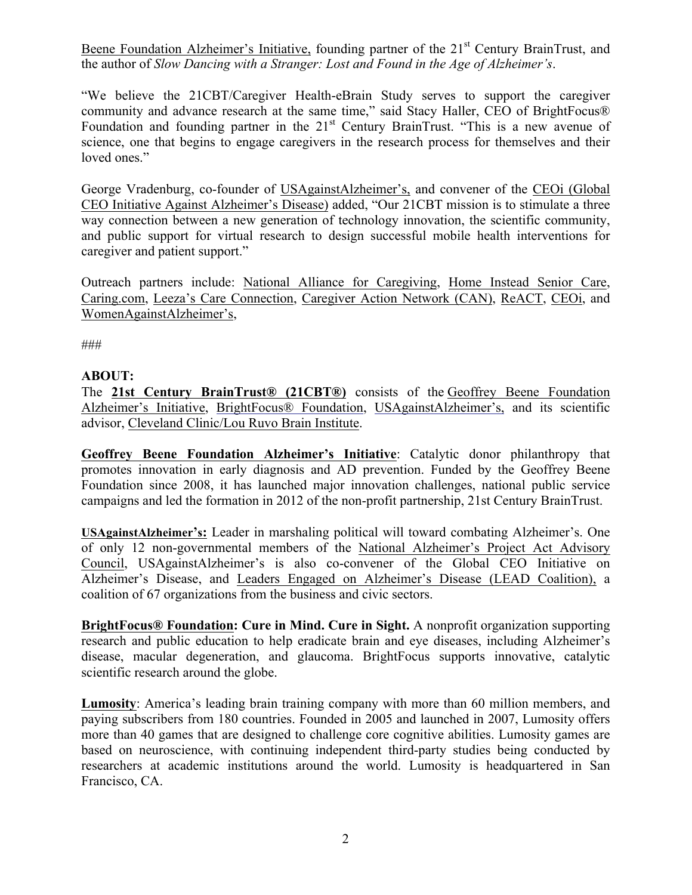Beene Foundation Alzheimer's Initiative, founding partner of the 21<sup>st</sup> Century BrainTrust, and the author of *Slow Dancing with a Stranger: Lost and Found in the Age of Alzheimer's*.

"We believe the 21CBT/Caregiver Health-eBrain Study serves to support the caregiver community and advance research at the same time," said Stacy Haller, CEO of BrightFocus® Foundation and founding partner in the 21<sup>st</sup> Century BrainTrust. "This is a new avenue of science, one that begins to engage caregivers in the research process for themselves and their loved ones."

George Vradenburg, co-founder of USAgainstAlzheimer's, and convener of the CEOi (Global CEO Initiative Against Alzheimer's Disease) added, "Our 21CBT mission is to stimulate a three way connection between a new generation of technology innovation, the scientific community, and public support for virtual research to design successful mobile health interventions for caregiver and patient support."

Outreach partners include: National Alliance for Caregiving, Home Instead Senior Care, Caring.com, Leeza's Care Connection, Caregiver Action Network (CAN), ReACT, CEOi, and WomenAgainstAlzheimer's,

###

## **ABOUT:**

The **21st Century BrainTrust® (21CBT®)** consists of the Geoffrey Beene Foundation Alzheimer's Initiative, BrightFocus® Foundation, USAgainstAlzheimer's, and its scientific advisor, Cleveland Clinic/Lou Ruvo Brain Institute.

**Geoffrey Beene Foundation Alzheimer's Initiative**: Catalytic donor philanthropy that promotes innovation in early diagnosis and AD prevention. Funded by the Geoffrey Beene Foundation since 2008, it has launched major innovation challenges, national public service campaigns and led the formation in 2012 of the non-profit partnership, 21st Century BrainTrust.

**USAgainstAlzheimer's:** Leader in marshaling political will toward combating Alzheimer's. One of only 12 non-governmental members of the National Alzheimer's Project Act Advisory Council, USAgainstAlzheimer's is also co-convener of the Global CEO Initiative on Alzheimer's Disease, and Leaders Engaged on Alzheimer's Disease (LEAD Coalition), a coalition of 67 organizations from the business and civic sectors.

**BrightFocus® Foundation: Cure in Mind. Cure in Sight.** A nonprofit organization supporting research and public education to help eradicate brain and eye diseases, including Alzheimer's disease, macular degeneration, and glaucoma. BrightFocus supports innovative, catalytic scientific research around the globe.

**Lumosity**: America's leading brain training company with more than 60 million members, and paying subscribers from 180 countries. Founded in 2005 and launched in 2007, Lumosity offers more than 40 games that are designed to challenge core cognitive abilities. Lumosity games are based on neuroscience, with continuing independent third-party studies being conducted by researchers at academic institutions around the world. Lumosity is headquartered in San Francisco, CA.